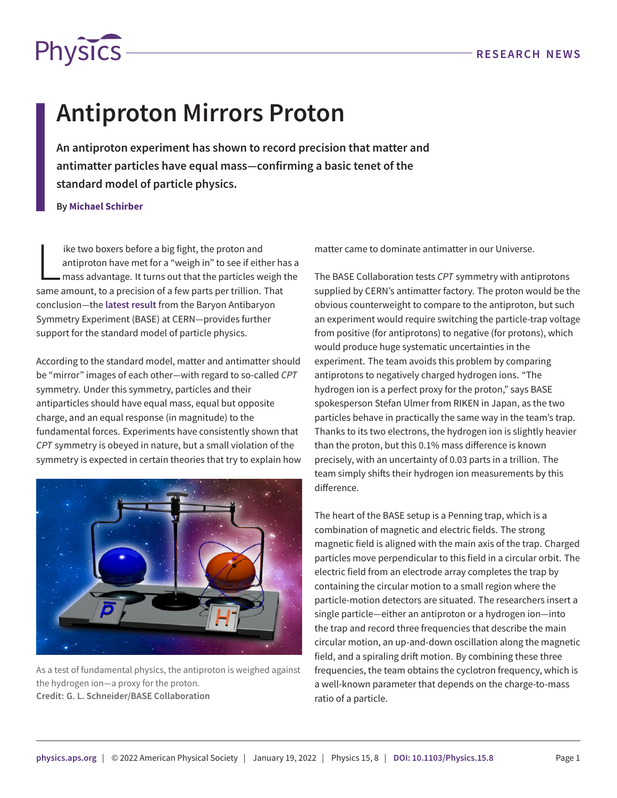

## **Antiproton Mirrors Proton**

**An antiproton experiment has shown to record precision that matter and antimatter particles have equal mass—confirming a basic tenet of the standard model of particle physics.**

## **By Michael Schirber**

Ike two boxers before a big fight, the proton and<br>antiproton have met for a "weigh in" to see if either h<br>mass advantage. It turns out that the particles weigh<br>same amount, to a precision of a few parts per trillion. That ike two boxers before a big fight, the proton and antiproton have met for a "weigh in" to see if either has a mass advantage. It turns out that the particles weigh the conclusion—the **[latest result](https://www.nature.com/articles/s41586-021-04203-w)** from the Baryon Antibaryon Symmetry Experiment (BASE) at CERN—provides further support for the standard model of particle physics.

According to the standard model, matter and antimatter should be "mirror" images of each other—with regard to so-called *CPT* symmetry. Under this symmetry, particles and their antiparticles should have equal mass, equal but opposite charge, and an equal response (in magnitude) to the fundamental forces. Experiments have consistently shown that *CPT* symmetry is obeyed in nature, but a small violation of the symmetry is expected in certain theories that try to explain how



As a test of fundamental physics, the antiproton is weighed against the hydrogen ion—a proxy for the proton. **Credit: G. L. Schneider/BASE Collaboration**

matter came to dominate antimatter in our Universe.

The BASE Collaboration tests *CPT* symmetry with antiprotons supplied by CERN's antimatter factory. The proton would be the obvious counterweight to compare to the antiproton, but such an experiment would require switching the particle-trap voltage from positive (for antiprotons) to negative (for protons), which would produce huge systematic uncertainties in the experiment. The team avoids this problem by comparing antiprotons to negatively charged hydrogen ions. "The hydrogen ion is a perfect proxy for the proton," says BASE spokesperson Stefan Ulmer from RIKEN in Japan, as the two particles behave in practically the same way in the team's trap. Thanks to its two electrons, the hydrogen ion is slightly heavier than the proton, but this 0.1% mass difference is known precisely, with an uncertainty of 0.03 parts in a trillion. The team simply shifts their hydrogen ion measurements by this difference.

The heart of the BASE setup is a Penning trap, which is a combination of magnetic and electric fields. The strong magnetic field is aligned with the main axis of the trap. Charged particles move perpendicular to this field in a circular orbit. The electric field from an electrode array completes the trap by containing the circular motion to a small region where the particle-motion detectors are situated. The researchers insert a single particle—either an antiproton or a hydrogen ion—into the trap and record three frequencies that describe the main circular motion, an up-and-down oscillation along the magnetic field, and a spiraling drift motion. By combining these three frequencies, the team obtains the cyclotron frequency, which is a well-known parameter that depends on the charge-to-mass ratio of a particle.